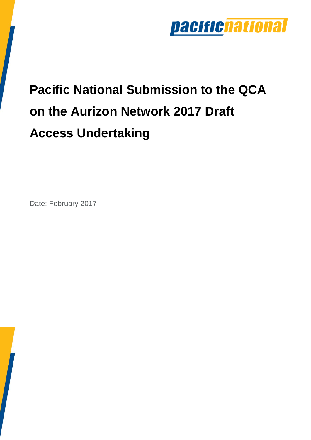

# **Pacific National Submission to the QCA on the Aurizon Network 2017 Draft Access Undertaking**

Date: February 2017

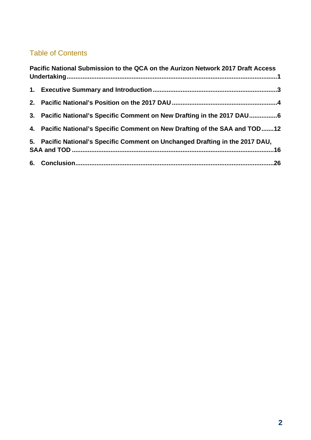### Table of Contents

| Pacific National Submission to the QCA on the Aurizon Network 2017 Draft Access |  |
|---------------------------------------------------------------------------------|--|
|                                                                                 |  |
|                                                                                 |  |
| 3. Pacific National's Specific Comment on New Drafting in the 2017 DAU6         |  |
| 4. Pacific National's Specific Comment on New Drafting of the SAA and TOD12     |  |
| 5. Pacific National's Specific Comment on Unchanged Drafting in the 2017 DAU,   |  |
|                                                                                 |  |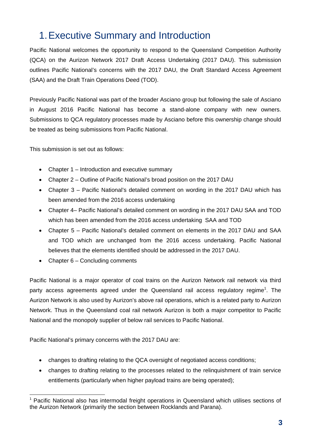### 1. Executive Summary and Introduction

Pacific National welcomes the opportunity to respond to the Queensland Competition Authority (QCA) on the Aurizon Network 2017 Draft Access Undertaking (2017 DAU). This submission outlines Pacific National's concerns with the 2017 DAU, the Draft Standard Access Agreement (SAA) and the Draft Train Operations Deed (TOD).

Previously Pacific National was part of the broader Asciano group but following the sale of Asciano in August 2016 Pacific National has become a stand-alone company with new owners. Submissions to QCA regulatory processes made by Asciano before this ownership change should be treated as being submissions from Pacific National.

This submission is set out as follows:

- Chapter 1 Introduction and executive summary
- Chapter 2 Outline of Pacific National's broad position on the 2017 DAU
- Chapter 3 Pacific National's detailed comment on wording in the 2017 DAU which has been amended from the 2016 access undertaking
- Chapter 4– Pacific National's detailed comment on wording in the 2017 DAU SAA and TOD which has been amended from the 2016 access undertaking SAA and TOD
- Chapter 5 Pacific National's detailed comment on elements in the 2017 DAU and SAA and TOD which are unchanged from the 2016 access undertaking. Pacific National believes that the elements identified should be addressed in the 2017 DAU.
- Chapter 6 Concluding comments

Pacific National is a major operator of coal trains on the Aurizon Network rail network via third party access agreements agreed under the Queensland rail access regulatory regime<sup>1</sup>. The Aurizon Network is also used by Aurizon's above rail operations, which is a related party to Aurizon Network. Thus in the Queensland coal rail network Aurizon is both a major competitor to Pacific National and the monopoly supplier of below rail services to Pacific National.

Pacific National's primary concerns with the 2017 DAU are:

- changes to drafting relating to the QCA oversight of negotiated access conditions;
- changes to drafting relating to the processes related to the relinquishment of train service entitlements (particularly when higher payload trains are being operated);

<sup>1</sup> Pacific National also has intermodal freight operations in Queensland which utilises sections of the Aurizon Network (primarily the section between Rocklands and Parana).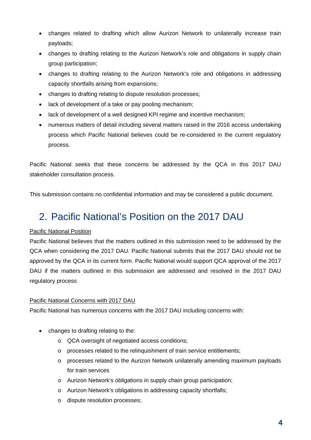- changes related to drafting which allow Aurizon Network to unilaterally increase train payloads;
- changes to drafting relating to the Aurizon Network's role and obligations in supply chain group participation;
- changes to drafting relating to the Aurizon Network's role and obligations in addressing capacity shortfalls arising from expansions;
- changes to drafting relating to dispute resolution processes;
- lack of development of a take or pay pooling mechanism;
- lack of development of a well designed KPI regime and incentive mechanism;
- numerous matters of detail including several matters raised in the 2016 access undertaking process which Pacific National believes could be re-considered in the current regulatory process.

Pacific National seeks that these concerns be addressed by the QCA in this 2017 DAU stakeholder consultation process.

This submission contains no confidential information and may be considered a public document.

### 2. Pacific National's Position on the 2017 DAU

#### Pacific National Position

Pacific National believes that the matters outlined in this submission need to be addressed by the QCA when considering the 2017 DAU. Pacific National submits that the 2017 DAU should not be approved by the QCA in its current form. Pacific National would support QCA approval of the 2017 DAU if the matters outlined in this submission are addressed and resolved in the 2017 DAU regulatory process

#### Pacific National Concerns with 2017 DAU

Pacific National has numerous concerns with the 2017 DAU including concerns with:

- changes to drafting relating to the:
	- o QCA oversight of negotiated access conditions;
	- o processes related to the relinquishment of train service entitlements;
	- o processes related to the Aurizon Network unilaterally amending maximum payloads for train services
	- o Aurizon Network's obligations in supply chain group participation;
	- o Aurizon Network's obligations in addressing capacity shortfalls;
	- o dispute resolution processes;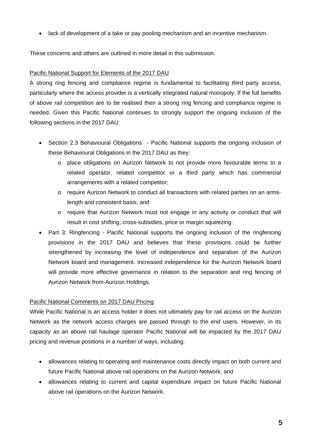lack of development of a take or pay pooling mechanism and an incentive mechanism.

These concerns and others are outlined in more detail in this submission.

### Pacific National Support for Elements of the 2017 DAU

A strong ring fencing and compliance regime is fundamental to facilitating third party access, particularly where the access provider is a vertically integrated natural monopoly. If the full benefits of above rail competition are to be realised then a strong ring fencing and compliance regime is needed. Given this Pacific National continues to strongly support the ongoing inclusion of the following sections in the 2017 DAU:

- Section 2.3 Behavioural Obligations Pacific National supports the ongoing inclusion of these Behavioural Obligations in the 2017 DAU as they:
	- o place obligations on Aurizon Network to not provide more favourable terms to a related operator, related competitor or a third party which has commercial arrangements with a related competitor;
	- o require Aurizon Network to conduct all transactions with related parties on an armslength and consistent basis; and
	- o require that Aurizon Network must not engage in any activity or conduct that will result in cost shifting, cross-subsidies, price or margin squeezing.
- Part 3: Ringfencing Pacific National supports the ongoing inclusion of the ringfencing provisions in the 2017 DAU and believes that these provisions could be further strengthened by increasing the level of independence and separation of the Aurizon Network board and management. Increased independence for the Aurizon Network board will provide more effective governance in relation to the separation and ring fencing of Aurizon Network from Aurizon Holdings.

### Pacific National Comments on 2017 DAU Pricing

While Pacific National is an access holder it does not ultimately pay for rail access on the Aurizon Network as the network access charges are passed through to the end users. However, in its capacity as an above rail haulage operator Pacific National will be impacted by the 2017 DAU pricing and revenue positions in a number of ways, including:

- allowances relating to operating and maintenance costs directly impact on both current and future Pacific National above rail operations on the Aurizon Network; and
- allowances relating to current and capital expenditure impact on future Pacific National above rail operations on the Aurizon Network.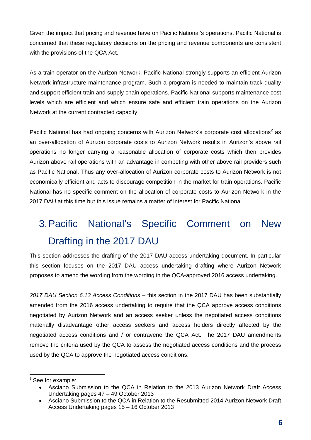Given the impact that pricing and revenue have on Pacific National's operations, Pacific National is concerned that these regulatory decisions on the pricing and revenue components are consistent with the provisions of the QCA Act.

As a train operator on the Aurizon Network, Pacific National strongly supports an efficient Aurizon Network infrastructure maintenance program. Such a program is needed to maintain track quality and support efficient train and supply chain operations. Pacific National supports maintenance cost levels which are efficient and which ensure safe and efficient train operations on the Aurizon Network at the current contracted capacity.

Pacific National has had ongoing concerns with Aurizon Network's corporate cost allocations<sup>2</sup> as an over-allocation of Aurizon corporate costs to Aurizon Network results in Aurizon's above rail operations no longer carrying a reasonable allocation of corporate costs which then provides Aurizon above rail operations with an advantage in competing with other above rail providers such as Pacific National. Thus any over-allocation of Aurizon corporate costs to Aurizon Network is not economically efficient and acts to discourage competition in the market for train operations. Pacific National has no specific comment on the allocation of corporate costs to Aurizon Network in the 2017 DAU at this time but this issue remains a matter of interest for Pacific National.

## 3. Pacific National's Specific Comment on New Drafting in the 2017 DAU

This section addresses the drafting of the 2017 DAU access undertaking document. In particular this section focuses on the 2017 DAU access undertaking drafting where Aurizon Network proposes to amend the wording from the wording in the QCA-approved 2016 access undertaking.

*2017 DAU Section 6.13 Access Conditions* – this section in the 2017 DAU has been substantially amended from the 2016 access undertaking to require that the QCA approve access conditions negotiated by Aurizon Network and an access seeker unless the negotiated access conditions materially disadvantage other access seekers and access holders directly affected by the negotiated access conditions and / or contravene the QCA Act. The 2017 DAU amendments remove the criteria used by the QCA to assess the negotiated access conditions and the process used by the QCA to approve the negotiated access conditions.

 $\overline{a}$ 

<sup>&</sup>lt;sup>2</sup> See for example:

Asciano Submission to the QCA in Relation to the 2013 Aurizon Network Draft Access Undertaking pages 47 – 49 October 2013

Asciano Submission to the QCA in Relation to the Resubmitted 2014 Aurizon Network Draft Access Undertaking pages 15 – 16 October 2013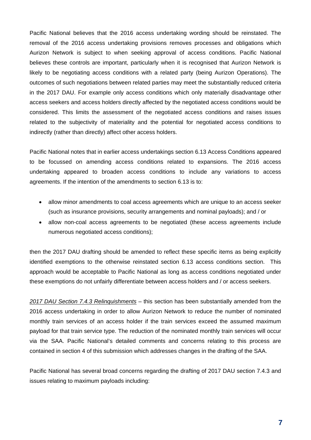Pacific National believes that the 2016 access undertaking wording should be reinstated. The removal of the 2016 access undertaking provisions removes processes and obligations which Aurizon Network is subject to when seeking approval of access conditions. Pacific National believes these controls are important, particularly when it is recognised that Aurizon Network is likely to be negotiating access conditions with a related party (being Aurizon Operations). The outcomes of such negotiations between related parties may meet the substantially reduced criteria in the 2017 DAU. For example only access conditions which only materially disadvantage other access seekers and access holders directly affected by the negotiated access conditions would be considered. This limits the assessment of the negotiated access conditions and raises issues related to the subjectivity of materiality and the potential for negotiated access conditions to indirectly (rather than directly) affect other access holders.

Pacific National notes that in earlier access undertakings section 6.13 Access Conditions appeared to be focussed on amending access conditions related to expansions. The 2016 access undertaking appeared to broaden access conditions to include any variations to access agreements. If the intention of the amendments to section 6.13 is to:

- allow minor amendments to coal access agreements which are unique to an access seeker (such as insurance provisions, security arrangements and nominal payloads); and / or
- allow non-coal access agreements to be negotiated (these access agreements include numerous negotiated access conditions);

then the 2017 DAU drafting should be amended to reflect these specific items as being explicitly identified exemptions to the otherwise reinstated section 6.13 access conditions section. This approach would be acceptable to Pacific National as long as access conditions negotiated under these exemptions do not unfairly differentiate between access holders and / or access seekers.

*2017 DAU Section 7.4.3 Relinquishments* – this section has been substantially amended from the 2016 access undertaking in order to allow Aurizon Network to reduce the number of nominated monthly train services of an access holder if the train services exceed the assumed maximum payload for that train service type. The reduction of the nominated monthly train services will occur via the SAA. Pacific National's detailed comments and concerns relating to this process are contained in section 4 of this submission which addresses changes in the drafting of the SAA.

Pacific National has several broad concerns regarding the drafting of 2017 DAU section 7.4.3 and issues relating to maximum payloads including: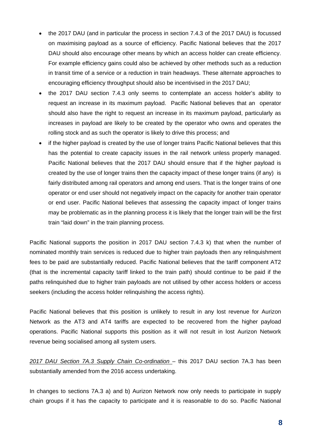- the 2017 DAU (and in particular the process in section 7.4.3 of the 2017 DAU) is focussed on maximising payload as a source of efficiency. Pacific National believes that the 2017 DAU should also encourage other means by which an access holder can create efficiency. For example efficiency gains could also be achieved by other methods such as a reduction in transit time of a service or a reduction in train headways. These alternate approaches to encouraging efficiency throughput should also be incentivised in the 2017 DAU;
- the 2017 DAU section 7.4.3 only seems to contemplate an access holder's ability to request an increase in its maximum payload. Pacific National believes that an operator should also have the right to request an increase in its maximum payload, particularly as increases in payload are likely to be created by the operator who owns and operates the rolling stock and as such the operator is likely to drive this process; and
- if the higher payload is created by the use of longer trains Pacific National believes that this has the potential to create capacity issues in the rail network unless properly managed. Pacific National believes that the 2017 DAU should ensure that if the higher payload is created by the use of longer trains then the capacity impact of these longer trains (if any) is fairly distributed among rail operators and among end users. That is the longer trains of one operator or end user should not negatively impact on the capacity for another train operator or end user. Pacific National believes that assessing the capacity impact of longer trains may be problematic as in the planning process it is likely that the longer train will be the first train "laid down" in the train planning process.

Pacific National supports the position in 2017 DAU section 7.4.3 k) that when the number of nominated monthly train services is reduced due to higher train payloads then any relinquishment fees to be paid are substantially reduced. Pacific National believes that the tariff component AT2 (that is the incremental capacity tariff linked to the train path) should continue to be paid if the paths relinquished due to higher train payloads are not utilised by other access holders or access seekers (including the access holder relinquishing the access rights).

Pacific National believes that this position is unlikely to result in any lost revenue for Aurizon Network as the AT3 and AT4 tariffs are expected to be recovered from the higher payload operations. Pacific National supports this position as it will not result in lost Aurizon Network revenue being socialised among all system users.

2017 DAU Section 7A.3 Supply Chain Co-ordination – this 2017 DAU section 7A.3 has been substantially amended from the 2016 access undertaking.

In changes to sections 7A.3 a) and b) Aurizon Network now only needs to participate in supply chain groups if it has the capacity to participate and it is reasonable to do so. Pacific National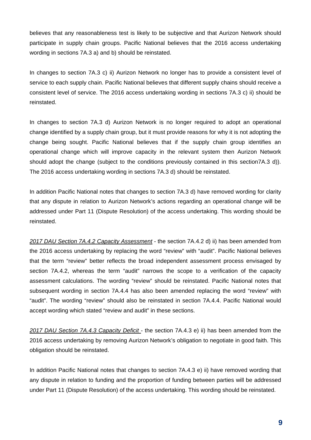believes that any reasonableness test is likely to be subjective and that Aurizon Network should participate in supply chain groups. Pacific National believes that the 2016 access undertaking wording in sections 7A.3 a) and b) should be reinstated.

In changes to section 7A.3 c) ii) Aurizon Network no longer has to provide a consistent level of service to each supply chain. Pacific National believes that different supply chains should receive a consistent level of service. The 2016 access undertaking wording in sections 7A.3 c) ii) should be reinstated.

In changes to section 7A.3 d) Aurizon Network is no longer required to adopt an operational change identified by a supply chain group, but it must provide reasons for why it is not adopting the change being sought. Pacific National believes that if the supply chain group identifies an operational change which will improve capacity in the relevant system then Aurizon Network should adopt the change (subject to the conditions previously contained in this section7A.3 d)). The 2016 access undertaking wording in sections 7A.3 d) should be reinstated.

In addition Pacific National notes that changes to section 7A.3 d) have removed wording for clarity that any dispute in relation to Aurizon Network's actions regarding an operational change will be addressed under Part 11 (Dispute Resolution) of the access undertaking. This wording should be reinstated.

*2017 DAU Section 7A.4.2 Capacity Assessment* - the section 7A.4.2 d) ii) has been amended from the 2016 access undertaking by replacing the word "review" with "audit". Pacific National believes that the term "review" better reflects the broad independent assessment process envisaged by section 7A.4.2, whereas the term "audit" narrows the scope to a verification of the capacity assessment calculations. The wording "review" should be reinstated. Pacific National notes that subsequent wording in section 7A.4.4 has also been amended replacing the word "review" with "audit". The wording "review" should also be reinstated in section 7A.4.4. Pacific National would accept wording which stated "review and audit" in these sections.

*2017 DAU Section 7A.4.3 Capacity Deficit* - the section 7A.4.3 e) ii) has been amended from the 2016 access undertaking by removing Aurizon Network's obligation to negotiate in good faith. This obligation should be reinstated.

In addition Pacific National notes that changes to section 7A.4.3 e) ii) have removed wording that any dispute in relation to funding and the proportion of funding between parties will be addressed under Part 11 (Dispute Resolution) of the access undertaking. This wording should be reinstated.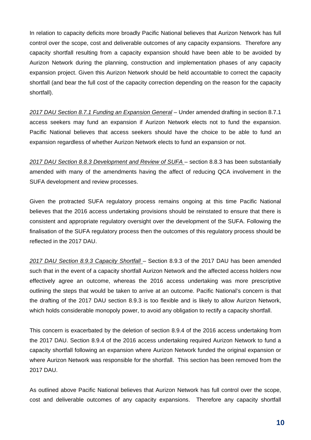In relation to capacity deficits more broadly Pacific National believes that Aurizon Network has full control over the scope, cost and deliverable outcomes of any capacity expansions. Therefore any capacity shortfall resulting from a capacity expansion should have been able to be avoided by Aurizon Network during the planning, construction and implementation phases of any capacity expansion project. Given this Aurizon Network should be held accountable to correct the capacity shortfall (and bear the full cost of the capacity correction depending on the reason for the capacity shortfall).

*2017 DAU Section 8.7.1 Funding an Expansion General* – Under amended drafting in section 8.7.1 access seekers may fund an expansion if Aurizon Network elects not to fund the expansion. Pacific National believes that access seekers should have the choice to be able to fund an expansion regardless of whether Aurizon Network elects to fund an expansion or not.

2017 DAU Section 8.8.3 Development and Review of SUFA – section 8.8.3 has been substantially amended with many of the amendments having the affect of reducing QCA involvement in the SUFA development and review processes.

Given the protracted SUFA regulatory process remains ongoing at this time Pacific National believes that the 2016 access undertaking provisions should be reinstated to ensure that there is consistent and appropriate regulatory oversight over the development of the SUFA. Following the finalisation of the SUFA regulatory process then the outcomes of this regulatory process should be reflected in the 2017 DAU.

2017 DAU Section 8.9.3 Capacity Shortfall – Section 8.9.3 of the 2017 DAU has been amended such that in the event of a capacity shortfall Aurizon Network and the affected access holders now effectively agree an outcome, whereas the 2016 access undertaking was more prescriptive outlining the steps that would be taken to arrive at an outcome. Pacific National's concern is that the drafting of the 2017 DAU section 8.9.3 is too flexible and is likely to allow Aurizon Network, which holds considerable monopoly power, to avoid any obligation to rectify a capacity shortfall.

This concern is exacerbated by the deletion of section 8.9.4 of the 2016 access undertaking from the 2017 DAU. Section 8.9.4 of the 2016 access undertaking required Aurizon Network to fund a capacity shortfall following an expansion where Aurizon Network funded the original expansion or where Aurizon Network was responsible for the shortfall. This section has been removed from the 2017 DAU.

As outlined above Pacific National believes that Aurizon Network has full control over the scope, cost and deliverable outcomes of any capacity expansions. Therefore any capacity shortfall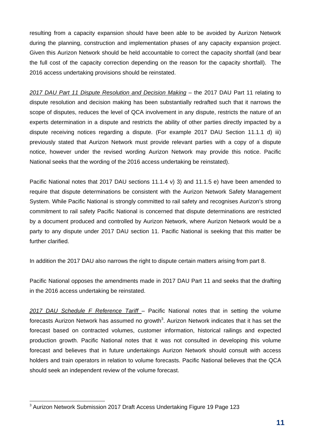resulting from a capacity expansion should have been able to be avoided by Aurizon Network during the planning, construction and implementation phases of any capacity expansion project. Given this Aurizon Network should be held accountable to correct the capacity shortfall (and bear the full cost of the capacity correction depending on the reason for the capacity shortfall). The 2016 access undertaking provisions should be reinstated.

*2017 DAU Part 11 Dispute Resolution and Decision Making* – the 2017 DAU Part 11 relating to dispute resolution and decision making has been substantially redrafted such that it narrows the scope of disputes, reduces the level of QCA involvement in any dispute, restricts the nature of an experts determination in a dispute and restricts the ability of other parties directly impacted by a dispute receiving notices regarding a dispute. (For example 2017 DAU Section 11.1.1 d) iii) previously stated that Aurizon Network must provide relevant parties with a copy of a dispute notice, however under the revised wording Aurizon Network may provide this notice. Pacific National seeks that the wording of the 2016 access undertaking be reinstated).

Pacific National notes that 2017 DAU sections 11.1.4 v) 3) and 11.1.5 e) have been amended to require that dispute determinations be consistent with the Aurizon Network Safety Management System. While Pacific National is strongly committed to rail safety and recognises Aurizon's strong commitment to rail safety Pacific National is concerned that dispute determinations are restricted by a document produced and controlled by Aurizon Network, where Aurizon Network would be a party to any dispute under 2017 DAU section 11. Pacific National is seeking that this matter be further clarified.

In addition the 2017 DAU also narrows the right to dispute certain matters arising from part 8.

Pacific National opposes the amendments made in 2017 DAU Part 11 and seeks that the drafting in the 2016 access undertaking be reinstated.

*2017 DAU Schedule F Reference Tariff* – Pacific National notes that in setting the volume forecasts Aurizon Network has assumed no growth<sup>3</sup>. Aurizon Network indicates that it has set the forecast based on contracted volumes, customer information, historical railings and expected production growth. Pacific National notes that it was not consulted in developing this volume forecast and believes that in future undertakings Aurizon Network should consult with access holders and train operators in relation to volume forecasts. Pacific National believes that the QCA should seek an independent review of the volume forecast.

 $\overline{a}$ 

<sup>&</sup>lt;sup>3</sup> Aurizon Network Submission 2017 Draft Access Undertaking Figure 19 Page 123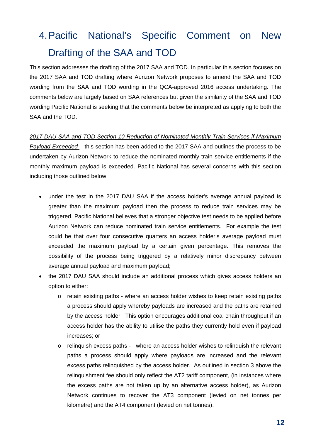# 4. Pacific National's Specific Comment on New Drafting of the SAA and TOD

This section addresses the drafting of the 2017 SAA and TOD. In particular this section focuses on the 2017 SAA and TOD drafting where Aurizon Network proposes to amend the SAA and TOD wording from the SAA and TOD wording in the QCA-approved 2016 access undertaking. The comments below are largely based on SAA references but given the similarity of the SAA and TOD wording Pacific National is seeking that the comments below be interpreted as applying to both the SAA and the TOD.

*2017 DAU SAA and TOD Section 10 Reduction of Nominated Monthly Train Services if Maximum Payload Exceeded* – this section has been added to the 2017 SAA and outlines the process to be undertaken by Aurizon Network to reduce the nominated monthly train service entitlements if the monthly maximum payload is exceeded. Pacific National has several concerns with this section including those outlined below:

- under the test in the 2017 DAU SAA if the access holder's average annual payload is greater than the maximum payload then the process to reduce train services may be triggered. Pacific National believes that a stronger objective test needs to be applied before Aurizon Network can reduce nominated train service entitlements. For example the test could be that over four consecutive quarters an access holder's average payload must exceeded the maximum payload by a certain given percentage. This removes the possibility of the process being triggered by a relatively minor discrepancy between average annual payload and maximum payload;
- the 2017 DAU SAA should include an additional process which gives access holders an option to either:
	- $\circ$  retain existing paths where an access holder wishes to keep retain existing paths a process should apply whereby payloads are increased and the paths are retained by the access holder. This option encourages additional coal chain throughput if an access holder has the ability to utilise the paths they currently hold even if payload increases; or
	- o relinquish excess paths where an access holder wishes to relinquish the relevant paths a process should apply where payloads are increased and the relevant excess paths relinquished by the access holder. As outlined in section 3 above the relinquishment fee should only reflect the AT2 tariff component, (in instances where the excess paths are not taken up by an alternative access holder), as Aurizon Network continues to recover the AT3 component (levied on net tonnes per kilometre) and the AT4 component (levied on net tonnes).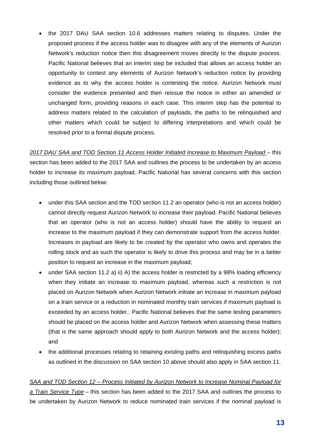the 2017 DAU SAA section 10.6 addresses matters relating to disputes. Under the proposed process if the access holder was to disagree with any of the elements of Aurizon Network's reduction notice then this disagreement moves directly to the dispute process. Pacific National believes that an interim step be included that allows an access holder an opportunity to contest any elements of Aurizon Network's reduction notice by providing evidence as to why the access holder is contesting the notice. Aurizon Network must consider the evidence presented and then reissue the notice in either an amended or unchanged form, providing reasons in each case. This interim step has the potential to address matters related to the calculation of payloads, the paths to be relinquished and other matters which could be subject to differing interpretations and which could be resolved prior to a formal dispute process.

2017 DAU SAA and TOD Section 11 Access Holder Initiated Increase to Maximum Payload – this section has been added to the 2017 SAA and outlines the process to be undertaken by an access holder to increase its maximum payload. Pacific National has several concerns with this section including those outlined below:

- under this SAA section and the TOD section 11.2 an operator (who is not an access holder) cannot directly request Aurizon Network to increase their payload. Pacific National believes that an operator (who is not an access holder) should have the ability to request an increase to the maximum payload if they can demonstrate support from the access holder. Increases in payload are likely to be created by the operator who owns and operates the rolling stock and as such the operator is likely to drive this process and may be in a better position to request an increase in the maximum payload;
- under SAA section 11.2 a) ii) A) the access holder is restricted by a 98% loading efficiency when they initiate an increase to maximum payload, whereas such a restriction is not placed on Aurizon Network when Aurizon Network initiate an increase in maximum payload on a train service or a reduction in nominated monthly train services if maximum payload is exceeded by an access holder.. Pacific National believes that the same testing parameters should be placed on the access holder and Aurizon Network when assessing these matters (that is the same approach should apply to both Aurizon Network and the access holder); and
- the additional processes relating to retaining existing paths and relinquishing excess paths as outlined in the discussion on SAA section 10 above should also apply in SAA section 11.

#### *SAA and TOD Section 12 – Process Initiated by Aurizon Network to Increase Nominal Payload for*

*a Train Service Type* – this section has been added to the 2017 SAA and outlines the process to be undertaken by Aurizon Network to reduce nominated train services if the nominal payload is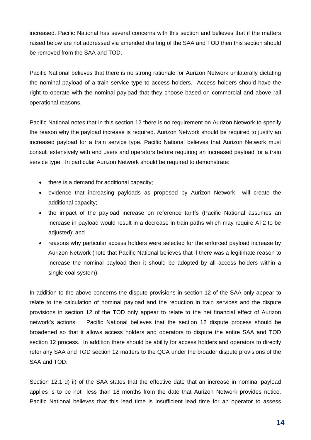increased. Pacific National has several concerns with this section and believes that if the matters raised below are not addressed via amended drafting of the SAA and TOD then this section should be removed from the SAA and TOD.

Pacific National believes that there is no strong rationale for Aurizon Network unilaterally dictating the nominal payload of a train service type to access holders. Access holders should have the right to operate with the nominal payload that they choose based on commercial and above rail operational reasons.

Pacific National notes that in this section 12 there is no requirement on Aurizon Network to specify the reason why the payload increase is required. Aurizon Network should be required to justify an increased payload for a train service type. Pacific National believes that Aurizon Network must consult extensively with end users and operators before requiring an increased payload for a train service type. In particular Aurizon Network should be required to demonstrate:

- there is a demand for additional capacity:
- evidence that increasing payloads as proposed by Aurizon Network will create the additional capacity;
- the impact of the payload increase on reference tariffs (Pacific National assumes an increase in payload would result in a decrease in train paths which may require AT2 to be adjusted); and
- reasons why particular access holders were selected for the enforced payload increase by Aurizon Network (note that Pacific National believes that if there was a legitimate reason to increase the nominal payload then it should be adopted by all access holders within a single coal system).

In addition to the above concerns the dispute provisions in section 12 of the SAA only appear to relate to the calculation of nominal payload and the reduction in train services and the dispute provisions in section 12 of the TOD only appear to relate to the net financial effect of Aurizon network's actions. Pacific National believes that the section 12 dispute process should be broadened so that it allows access holders and operators to dispute the entire SAA and TOD section 12 process. In addition there should be ability for access holders and operators to directly refer any SAA and TOD section 12 matters to the QCA under the broader dispute provisions of the SAA and TOD.

Section 12.1 d) ii) of the SAA states that the effective date that an increase in nominal payload applies is to be not less than 18 months from the date that Aurizon Network provides notice. Pacific National believes that this lead time is insufficient lead time for an operator to assess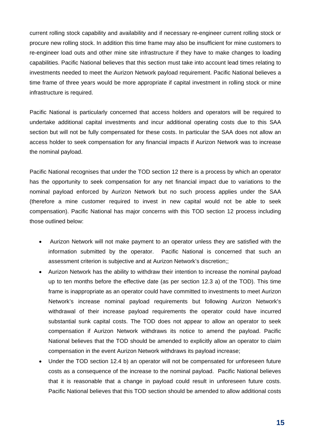current rolling stock capability and availability and if necessary re-engineer current rolling stock or procure new rolling stock. In addition this time frame may also be insufficient for mine customers to re-engineer load outs and other mine site infrastructure if they have to make changes to loading capabilities. Pacific National believes that this section must take into account lead times relating to investments needed to meet the Aurizon Network payload requirement. Pacific National believes a time frame of three years would be more appropriate if capital investment in rolling stock or mine infrastructure is required.

Pacific National is particularly concerned that access holders and operators will be required to undertake additional capital investments and incur additional operating costs due to this SAA section but will not be fully compensated for these costs. In particular the SAA does not allow an access holder to seek compensation for any financial impacts if Aurizon Network was to increase the nominal payload.

Pacific National recognises that under the TOD section 12 there is a process by which an operator has the opportunity to seek compensation for any net financial impact due to variations to the nominal payload enforced by Aurizon Network but no such process applies under the SAA (therefore a mine customer required to invest in new capital would not be able to seek compensation). Pacific National has major concerns with this TOD section 12 process including those outlined below:

- Aurizon Network will not make payment to an operator unless they are satisfied with the information submitted by the operator. Pacific National is concerned that such an assessment criterion is subjective and at Aurizon Network's discretion;;
- Aurizon Network has the ability to withdraw their intention to increase the nominal payload up to ten months before the effective date (as per section 12.3 a) of the TOD). This time frame is inappropriate as an operator could have committed to investments to meet Aurizon Network's increase nominal payload requirements but following Aurizon Network's withdrawal of their increase payload requirements the operator could have incurred substantial sunk capital costs. The TOD does not appear to allow an operator to seek compensation if Aurizon Network withdraws its notice to amend the payload. Pacific National believes that the TOD should be amended to explicitly allow an operator to claim compensation in the event Aurizon Network withdraws its payload increase;
- Under the TOD section 12.4 b) an operator will not be compensated for unforeseen future costs as a consequence of the increase to the nominal payload. Pacific National believes that it is reasonable that a change in payload could result in unforeseen future costs. Pacific National believes that this TOD section should be amended to allow additional costs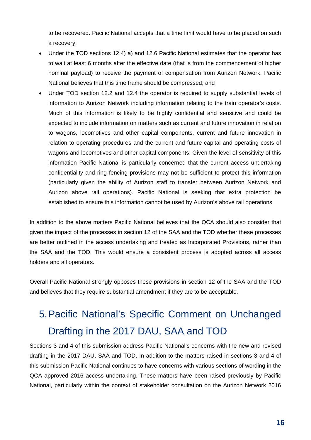to be recovered. Pacific National accepts that a time limit would have to be placed on such a recovery;

- Under the TOD sections 12.4) a) and 12.6 Pacific National estimates that the operator has to wait at least 6 months after the effective date (that is from the commencement of higher nominal payload) to receive the payment of compensation from Aurizon Network. Pacific National believes that this time frame should be compressed; and
- Under TOD section 12.2 and 12.4 the operator is required to supply substantial levels of information to Aurizon Network including information relating to the train operator's costs. Much of this information is likely to be highly confidential and sensitive and could be expected to include information on matters such as current and future innovation in relation to wagons, locomotives and other capital components, current and future innovation in relation to operating procedures and the current and future capital and operating costs of wagons and locomotives and other capital components. Given the level of sensitivity of this information Pacific National is particularly concerned that the current access undertaking confidentiality and ring fencing provisions may not be sufficient to protect this information (particularly given the ability of Aurizon staff to transfer between Aurizon Network and Aurizon above rail operations). Pacific National is seeking that extra protection be established to ensure this information cannot be used by Aurizon's above rail operations

In addition to the above matters Pacific National believes that the QCA should also consider that given the impact of the processes in section 12 of the SAA and the TOD whether these processes are better outlined in the access undertaking and treated as Incorporated Provisions, rather than the SAA and the TOD. This would ensure a consistent process is adopted across all access holders and all operators.

Overall Pacific National strongly opposes these provisions in section 12 of the SAA and the TOD and believes that they require substantial amendment if they are to be acceptable.

# 5. Pacific National's Specific Comment on Unchanged Drafting in the 2017 DAU, SAA and TOD

Sections 3 and 4 of this submission address Pacific National's concerns with the new and revised drafting in the 2017 DAU, SAA and TOD. In addition to the matters raised in sections 3 and 4 of this submission Pacific National continues to have concerns with various sections of wording in the QCA approved 2016 access undertaking. These matters have been raised previously by Pacific National, particularly within the context of stakeholder consultation on the Aurizon Network 2016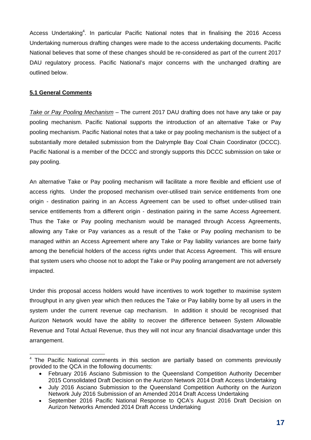Access Undertaking<sup>4</sup>. In particular Pacific National notes that in finalising the 2016 Access Undertaking numerous drafting changes were made to the access undertaking documents. Pacific National believes that some of these changes should be re-considered as part of the current 2017 DAU regulatory process. Pacific National's major concerns with the unchanged drafting are outlined below.

### **5.1 General Comments**

*Take or Pay Pooling Mechanism* – The current 2017 DAU drafting does not have any take or pay pooling mechanism. Pacific National supports the introduction of an alternative Take or Pay pooling mechanism. Pacific National notes that a take or pay pooling mechanism is the subject of a substantially more detailed submission from the Dalrymple Bay Coal Chain Coordinator (DCCC). Pacific National is a member of the DCCC and strongly supports this DCCC submission on take or pay pooling.

An alternative Take or Pay pooling mechanism will facilitate a more flexible and efficient use of access rights. Under the proposed mechanism over-utilised train service entitlements from one origin - destination pairing in an Access Agreement can be used to offset under-utilised train service entitlements from a different origin - destination pairing in the same Access Agreement. Thus the Take or Pay pooling mechanism would be managed through Access Agreements, allowing any Take or Pay variances as a result of the Take or Pay pooling mechanism to be managed within an Access Agreement where any Take or Pay liability variances are borne fairly among the beneficial holders of the access rights under that Access Agreement. This will ensure that system users who choose not to adopt the Take or Pay pooling arrangement are not adversely impacted.

Under this proposal access holders would have incentives to work together to maximise system throughput in any given year which then reduces the Take or Pay liability borne by all users in the system under the current revenue cap mechanism. In addition it should be recognised that Aurizon Network would have the ability to recover the difference between System Allowable Revenue and Total Actual Revenue, thus they will not incur any financial disadvantage under this arrangement.

<sup>&</sup>lt;sup>4</sup> The Pacific National comments in this section are partially based on comments previously provided to the QCA in the following documents:

February 2016 Asciano Submission to the Queensland Competition Authority December 2015 Consolidated Draft Decision on the Aurizon Network 2014 Draft Access Undertaking

July 2016 Asciano Submission to the Queensland Competition Authority on the Aurizon Network July 2016 Submission of an Amended 2014 Draft Access Undertaking

September 2016 Pacific National Response to QCA's August 2016 Draft Decision on Aurizon Networks Amended 2014 Draft Access Undertaking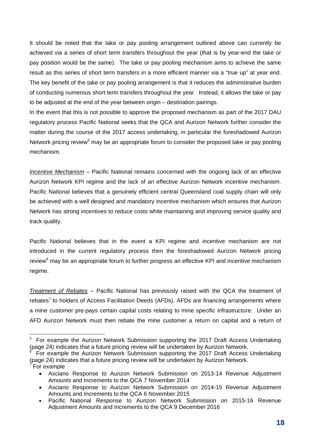It should be noted that the take or pay pooling arrangement outlined above can currently be achieved via a series of short term transfers throughout the year (that is by year-end the take or pay position would be the same). The take or pay pooling mechanism aims to achieve the same result as this series of short term transfers in a more efficient manner via a "true up" at year end. The key benefit of the take or pay pooling arrangement is that it reduces the administrative burden of conducting numerous short term transfers throughout the year. Instead, it allows the take or pay to be adjusted at the end of the year between origin – destination pairings.

In the event that this is not possible to approve the proposed mechanism as part of the 2017 DAU regulatory process Pacific National seeks that the QCA and Aurizon Network further consider the matter during the course of the 2017 access undertaking, in particular the foreshadowed Aurizon Network pricing review<sup>5</sup> may be an appropriate forum to consider the proposed take or pay pooling mechanism.

*Incentive Mechanism* – Pacific National remains concerned with the ongoing lack of an effective Aurizon Network KPI regime and the lack of an effective Aurizon Network incentive mechanism. Pacific National believes that a genuinely efficient central Queensland coal supply chain will only be achieved with a well designed and mandatory incentive mechanism which ensures that Aurizon Network has strong incentives to reduce costs while maintaining and improving service quality and track quality.

Pacific National believes that in the event a KPI regime and incentive mechanism are not introduced in the current regulatory process then the foreshadowed Aurizon Network pricing review<sup>6</sup> may be an appropriate forum to further progress an effective KPI and incentive mechanism regime.

*Treatment of Rebates* – Pacific National has previously raised with the QCA the treatment of rebates<sup>7</sup> to holders of Access Facilitation Deeds (AFDs). AFDs are financing arrangements where a mine customer pre-pays certain capital costs relating to mine specific infrastructure. Under an AFD Aurizon Network must then rebate the mine customer a return on capital and a return of

 <sup>5</sup> For example the Aurizon Network Submission supporting the 2017 Draft Access Undertaking (page 24) indicates that a future pricing review will be undertaken by Aurizon Network.

<sup>6</sup> For example the Aurizon Network Submission supporting the 2017 Draft Access Undertaking (page 24) indicates that a future pricing review will be undertaken by Aurizon Network. For example

Asciano Response to Aurizon Network Submission on 2013-14 Revenue Adjustment Amounts and Increments to the QCA 7 November 2014

Asciano Response to Aurizon Network Submission on 2014-15 Revenue Adjustment Amounts and Increments to the QCA 6 November 2015

Pacific National Response to Aurizon Network Submission on 2015-16 Revenue Adjustment Amounts and Increments to the QCA 9 December 2016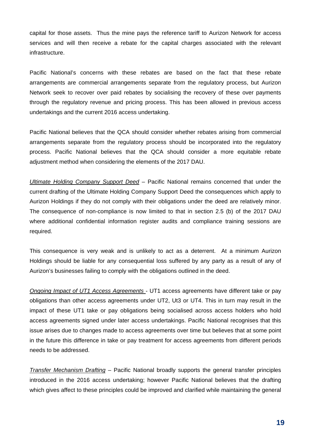capital for those assets. Thus the mine pays the reference tariff to Aurizon Network for access services and will then receive a rebate for the capital charges associated with the relevant infrastructure.

Pacific National's concerns with these rebates are based on the fact that these rebate arrangements are commercial arrangements separate from the regulatory process, but Aurizon Network seek to recover over paid rebates by socialising the recovery of these over payments through the regulatory revenue and pricing process. This has been allowed in previous access undertakings and the current 2016 access undertaking.

Pacific National believes that the QCA should consider whether rebates arising from commercial arrangements separate from the regulatory process should be incorporated into the regulatory process. Pacific National believes that the QCA should consider a more equitable rebate adjustment method when considering the elements of the 2017 DAU.

*Ultimate Holding Company Support Deed* – Pacific National remains concerned that under the current drafting of the Ultimate Holding Company Support Deed the consequences which apply to Aurizon Holdings if they do not comply with their obligations under the deed are relatively minor. The consequence of non-compliance is now limited to that in section 2.5 (b) of the 2017 DAU where additional confidential information register audits and compliance training sessions are required.

This consequence is very weak and is unlikely to act as a deterrent. At a minimum Aurizon Holdings should be liable for any consequential loss suffered by any party as a result of any of Aurizon's businesses failing to comply with the obligations outlined in the deed.

*Ongoing Impact of UT1 Access Agreements* - UT1 access agreements have different take or pay obligations than other access agreements under UT2, Ut3 or UT4. This in turn may result in the impact of these UT1 take or pay obligations being socialised across access holders who hold access agreements signed under later access undertakings. Pacific National recognises that this issue arises due to changes made to access agreements over time but believes that at some point in the future this difference in take or pay treatment for access agreements from different periods needs to be addressed.

*Transfer Mechanism Drafting* – Pacific National broadly supports the general transfer principles introduced in the 2016 access undertaking; however Pacific National believes that the drafting which gives affect to these principles could be improved and clarified while maintaining the general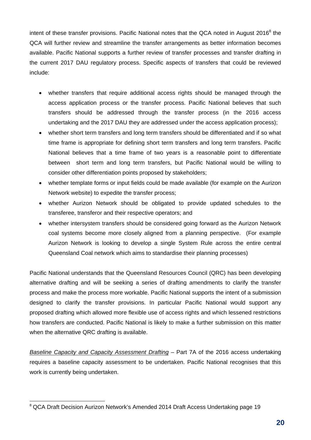intent of these transfer provisions. Pacific National notes that the QCA noted in August 2016 $^8$  the QCA will further review and streamline the transfer arrangements as better information becomes available. Pacific National supports a further review of transfer processes and transfer drafting in the current 2017 DAU regulatory process. Specific aspects of transfers that could be reviewed include:

- whether transfers that require additional access rights should be managed through the access application process or the transfer process. Pacific National believes that such transfers should be addressed through the transfer process (in the 2016 access undertaking and the 2017 DAU they are addressed under the access application process);
- whether short term transfers and long term transfers should be differentiated and if so what time frame is appropriate for defining short term transfers and long term transfers. Pacific National believes that a time frame of two years is a reasonable point to differentiate between short term and long term transfers, but Pacific National would be willing to consider other differentiation points proposed by stakeholders;
- whether template forms or input fields could be made available (for example on the Aurizon Network website) to expedite the transfer process;
- whether Aurizon Network should be obligated to provide updated schedules to the transferee, transferor and their respective operators; and
- whether intersystem transfers should be considered going forward as the Aurizon Network coal systems become more closely aligned from a planning perspective. (For example Aurizon Network is looking to develop a single System Rule across the entire central Queensland Coal network which aims to standardise their planning processes)

Pacific National understands that the Queensland Resources Council (QRC) has been developing alternative drafting and will be seeking a series of drafting amendments to clarify the transfer process and make the process more workable. Pacific National supports the intent of a submission designed to clarify the transfer provisions. In particular Pacific National would support any proposed drafting which allowed more flexible use of access rights and which lessened restrictions how transfers are conducted. Pacific National is likely to make a further submission on this matter when the alternative QRC drafting is available.

*Baseline Capacity and Capacity Assessment Drafting* – Part 7A of the 2016 access undertaking requires a baseline capacity assessment to be undertaken. Pacific National recognises that this work is currently being undertaken.

 $\overline{a}$ 

<sup>&</sup>lt;sup>8</sup> QCA Draft Decision Aurizon Network's Amended 2014 Draft Access Undertaking page 19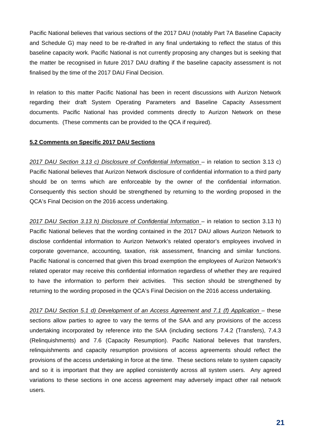Pacific National believes that various sections of the 2017 DAU (notably Part 7A Baseline Capacity and Schedule G) may need to be re-drafted in any final undertaking to reflect the status of this baseline capacity work. Pacific National is not currently proposing any changes but is seeking that the matter be recognised in future 2017 DAU drafting if the baseline capacity assessment is not finalised by the time of the 2017 DAU Final Decision.

In relation to this matter Pacific National has been in recent discussions with Aurizon Network regarding their draft System Operating Parameters and Baseline Capacity Assessment documents. Pacific National has provided comments directly to Aurizon Network on these documents. (These comments can be provided to the QCA if required).

#### **5.2 Comments on Specific 2017 DAU Sections**

2017 DAU Section 3.13 c) Disclosure of Confidential Information – in relation to section 3.13 c) Pacific National believes that Aurizon Network disclosure of confidential information to a third party should be on terms which are enforceable by the owner of the confidential information. Consequently this section should be strengthened by returning to the wording proposed in the QCA's Final Decision on the 2016 access undertaking.

*2017 DAU Section 3.13 h) Disclosure of Confidential Information* – in relation to section 3.13 h) Pacific National believes that the wording contained in the 2017 DAU allows Aurizon Network to disclose confidential information to Aurizon Network's related operator's employees involved in corporate governance, accounting, taxation, risk assessment, financing and similar functions. Pacific National is concerned that given this broad exemption the employees of Aurizon Network's related operator may receive this confidential information regardless of whether they are required to have the information to perform their activities. This section should be strengthened by returning to the wording proposed in the QCA's Final Decision on the 2016 access undertaking.

*2017 DAU Section 5.1 d) Development of an Access Agreement and 7.1 (f) Application* – these sections allow parties to agree to vary the terms of the SAA and any provisions of the access undertaking incorporated by reference into the SAA (including sections 7.4.2 (Transfers), 7.4.3 (Relinquishments) and 7.6 (Capacity Resumption). Pacific National believes that transfers, relinquishments and capacity resumption provisions of access agreements should reflect the provisions of the access undertaking in force at the time. These sections relate to system capacity and so it is important that they are applied consistently across all system users. Any agreed variations to these sections in one access agreement may adversely impact other rail network users.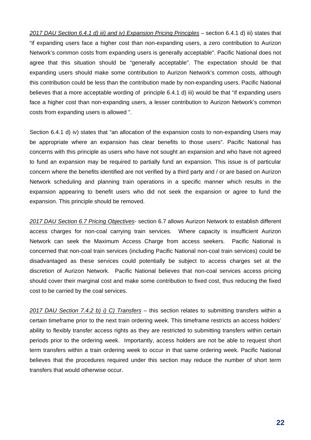*2017 DAU Section 6.4.1 d) iii) and iv) Expansion Pricing Principles* – section 6.4.1 d) iii) states that "if expanding users face a higher cost than non-expanding users, a zero contribution to Aurizon Network's common costs from expanding users is generally acceptable". Pacific National does not agree that this situation should be "generally acceptable". The expectation should be that expanding users should make some contribution to Aurizon Network's common costs, although this contribution could be less than the contribution made by non-expanding users. Pacific National believes that a more acceptable wording of principle 6.4.1 d) iii) would be that "if expanding users face a higher cost than non-expanding users, a lesser contribution to Aurizon Network's common costs from expanding users is allowed ".

Section 6.4.1 d) iv) states that "an allocation of the expansion costs to non-expanding Users may be appropriate where an expansion has clear benefits to those users". Pacific National has concerns with this principle as users who have not sought an expansion and who have not agreed to fund an expansion may be required to partially fund an expansion. This issue is of particular concern where the benefits identified are not verified by a third party and / or are based on Aurizon Network scheduling and planning train operations in a specific manner which results in the expansion appearing to benefit users who did not seek the expansion or agree to fund the expansion. This principle should be removed.

*2017 DAU Section 6.7 Pricing Objectives*- section 6.7 allows Aurizon Network to establish different access charges for non-coal carrying train services. Where capacity is insufficient Aurizon Network can seek the Maximum Access Charge from access seekers. Pacific National is concerned that non-coal train services (including Pacific National non-coal train services) could be disadvantaged as these services could potentially be subject to access charges set at the discretion of Aurizon Network. Pacific National believes that non-coal services access pricing should cover their marginal cost and make some contribution to fixed cost, thus reducing the fixed cost to be carried by the coal services.

*2017 DAU Section 7.4.2 b) i) C) Transfers* – this section relates to submitting transfers within a certain timeframe prior to the next train ordering week. This timeframe restricts an access holders' ability to flexibly transfer access rights as they are restricted to submitting transfers within certain periods prior to the ordering week. Importantly, access holders are not be able to request short term transfers within a train ordering week to occur in that same ordering week. Pacific National believes that the procedures required under this section may reduce the number of short term transfers that would otherwise occur.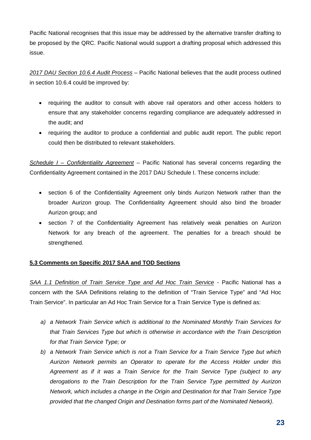Pacific National recognises that this issue may be addressed by the alternative transfer drafting to be proposed by the QRC. Pacific National would support a drafting proposal which addressed this issue.

*2017 DAU Section 10.6.4 Audit Process* – Pacific National believes that the audit process outlined in section 10.6.4 could be improved by:

- requiring the auditor to consult with above rail operators and other access holders to ensure that any stakeholder concerns regarding compliance are adequately addressed in the audit; and
- requiring the auditor to produce a confidential and public audit report. The public report could then be distributed to relevant stakeholders.

*Schedule I – Confidentiality Agreement* – Pacific National has several concerns regarding the Confidentiality Agreement contained in the 2017 DAU Schedule I. These concerns include:

- section 6 of the Confidentiality Agreement only binds Aurizon Network rather than the broader Aurizon group. The Confidentiality Agreement should also bind the broader Aurizon group; and
- section 7 of the Confidentiality Agreement has relatively weak penalties on Aurizon Network for any breach of the agreement. The penalties for a breach should be strengthened.

### **5.3 Comments on Specific 2017 SAA and TOD Sections**

*SAA 1.1 Definition of Train Service Type and Ad Hoc Train Service* - Pacific National has a concern with the SAA Definitions relating to the definition of "Train Service Type" and "Ad Hoc Train Service". In particular an Ad Hoc Train Service for a Train Service Type is defined as:

- *a) a Network Train Service which is additional to the Nominated Monthly Train Services for that Train Services Type but which is otherwise in accordance with the Train Description for that Train Service Type; or*
- *b) a Network Train Service which is not a Train Service for a Train Service Type but which Aurizon Network permits an Operator to operate for the Access Holder under this Agreement as if it was a Train Service for the Train Service Type (subject to any derogations to the Train Description for the Train Service Type permitted by Aurizon Network, which includes a change in the Origin and Destination for that Train Service Type provided that the changed Origin and Destination forms part of the Nominated Network).*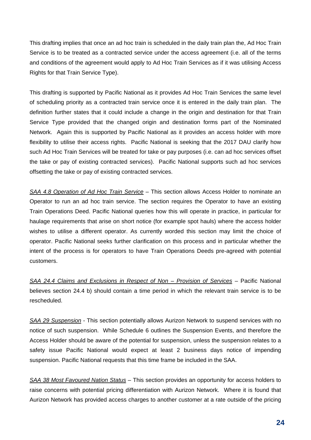This drafting implies that once an ad hoc train is scheduled in the daily train plan the, Ad Hoc Train Service is to be treated as a contracted service under the access agreement (i.e. all of the terms and conditions of the agreement would apply to Ad Hoc Train Services as if it was utilising Access Rights for that Train Service Type).

This drafting is supported by Pacific National as it provides Ad Hoc Train Services the same level of scheduling priority as a contracted train service once it is entered in the daily train plan. The definition further states that it could include a change in the origin and destination for that Train Service Type provided that the changed origin and destination forms part of the Nominated Network. Again this is supported by Pacific National as it provides an access holder with more flexibility to utilise their access rights. Pacific National is seeking that the 2017 DAU clarify how such Ad Hoc Train Services will be treated for take or pay purposes (i.e. can ad hoc services offset the take or pay of existing contracted services). Pacific National supports such ad hoc services offsetting the take or pay of existing contracted services.

*SAA 4.8 Operation of Ad Hoc Train Service* – This section allows Access Holder to nominate an Operator to run an ad hoc train service. The section requires the Operator to have an existing Train Operations Deed. Pacific National queries how this will operate in practice, in particular for haulage requirements that arise on short notice (for example spot hauls) where the access holder wishes to utilise a different operator. As currently worded this section may limit the choice of operator. Pacific National seeks further clarification on this process and in particular whether the intent of the process is for operators to have Train Operations Deeds pre-agreed with potential customers.

*SAA 24.4 Claims and Exclusions in Respect of Non – Provision of Services* – Pacific National believes section 24.4 b) should contain a time period in which the relevant train service is to be rescheduled.

*SAA 29 Suspension* - This section potentially allows Aurizon Network to suspend services with no notice of such suspension. While Schedule 6 outlines the Suspension Events, and therefore the Access Holder should be aware of the potential for suspension, unless the suspension relates to a safety issue Pacific National would expect at least 2 business days notice of impending suspension. Pacific National requests that this time frame be included in the SAA.

*SAA 38 Most Favoured Nation Status* – This section provides an opportunity for access holders to raise concerns with potential pricing differentiation with Aurizon Network. Where it is found that Aurizon Network has provided access charges to another customer at a rate outside of the pricing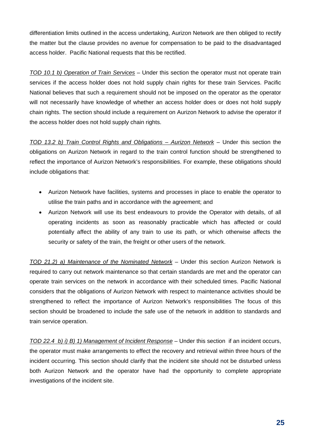differentiation limits outlined in the access undertaking, Aurizon Network are then obliged to rectify the matter but the clause provides no avenue for compensation to be paid to the disadvantaged access holder. Pacific National requests that this be rectified.

*TOD 10.1 b) Operation of Train Services* – Under this section the operator must not operate train services if the access holder does not hold supply chain rights for these train Services. Pacific National believes that such a requirement should not be imposed on the operator as the operator will not necessarily have knowledge of whether an access holder does or does not hold supply chain rights. The section should include a requirement on Aurizon Network to advise the operator if the access holder does not hold supply chain rights.

*TOD 13.2 b) Train Control Rights and Obligations – Aurizon Network* – Under this section the obligations on Aurizon Network in regard to the train control function should be strengthened to reflect the importance of Aurizon Network's responsibilities. For example, these obligations should include obligations that:

- Aurizon Network have facilities, systems and processes in place to enable the operator to utilise the train paths and in accordance with the agreement; and
- Aurizon Network will use its best endeavours to provide the Operator with details, of all operating incidents as soon as reasonably practicable which has affected or could potentially affect the ability of any train to use its path, or which otherwise affects the security or safety of the train, the freight or other users of the network.

*TOD 21.2) a) Maintenance of the Nominated Network* – Under this section Aurizon Network is required to carry out network maintenance so that certain standards are met and the operator can operate train services on the network in accordance with their scheduled times. Pacific National considers that the obligations of Aurizon Network with respect to maintenance activities should be strengthened to reflect the importance of Aurizon Network's responsibilities The focus of this section should be broadened to include the safe use of the network in addition to standards and train service operation.

*TOD 22.4 b) i) B) 1) Management of Incident Response* – Under this section if an incident occurs, the operator must make arrangements to effect the recovery and retrieval within three hours of the incident occurring. This section should clarify that the incident site should not be disturbed unless both Aurizon Network and the operator have had the opportunity to complete appropriate investigations of the incident site.